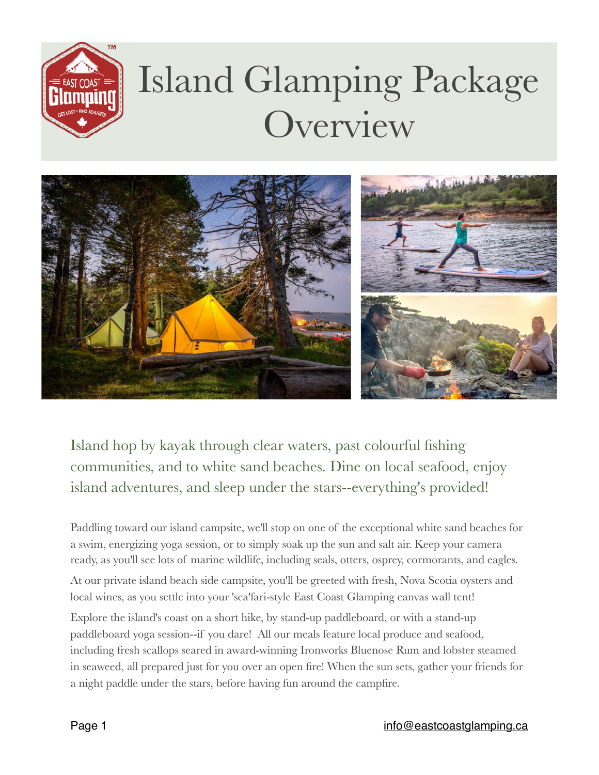

# Island Glamping Package **Overview**



Island hop by kayak through clear waters, past colourful fishing communities, and to white sand beaches. Dine on local seafood, enjoy island adventures, and sleep under the stars--everything's provided!

Paddling toward our island campsite, we'll stop on one of the exceptional white sand beaches for a swim, energizing yoga session, or to simply soak up the sun and salt air. Keep your camera ready, as you'll see lots of marine wildlife, including seals, otters, osprey, cormorants, and eagles.

At our private island beach side campsite, you'll be greeted with fresh, Nova Scotia oysters and local wines, as you settle into your 'sea'fari-style East Coast Glamping canvas wall tent!

Explore the island's coast on a short hike, by stand-up paddleboard, or with a stand-up paddleboard yoga session--if you dare! All our meals feature local produce and seafood, including fresh scallops seared in award-winning Ironworks Bluenose Rum and lobster steamed in seaweed, all prepared just for you over an open fire! When the sun sets, gather your friends for a night paddle under the stars, before having fun around the campfire.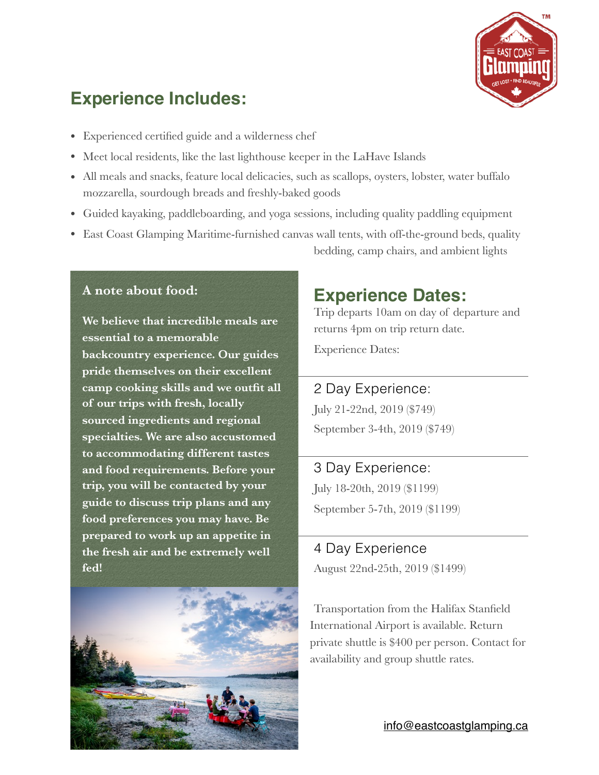

# **Experience Includes:**

- Experienced certified guide and a wilderness chef
- Meet local residents, like the last lighthouse keeper in the LaHave Islands
- All meals and snacks, feature local delicacies, such as scallops, oysters, lobster, water buffalo mozzarella, sourdough breads and freshly-baked goods
- Guided kayaking, paddleboarding, and yoga sessions, including quality paddling equipment
- East Coast Glamping Maritime-furnished canvas wall tents, with off-the-ground beds, quality bedding, camp chairs, and ambient lights

#### **A note about food:**

**We believe that incredible meals are essential to a memorable backcountry experience. Our guides pride themselves on their excellent camp cooking skills and we outfit all of our trips with fresh, locally sourced ingredients and regional specialties. We are also accustomed to accommodating different tastes and food requirements. Before your trip, you will be contacted by your guide to discuss trip plans and any food preferences you may have. Be prepared to work up an appetite in the fresh air and be extremely well fed!**



## **Experience Dates:**

Trip departs 10am on day of departure and returns 4pm on trip return date.

Experience Dates:

#### 2 Day Experience:

July 21-22nd, 2019 (\$749) September 3-4th, 2019 (\$749)

3 Day Experience: July 18-20th, 2019 (\$1199) September 5-7th, 2019 (\$1199)

### 4 Day Experience August 22nd-25th, 2019 (\$1499)

Transportation from the Halifax Stanfield International Airport is available. Return private shuttle is \$400 per person. Contact for availability and group shuttle rates.

[info@eastcoastglamping.ca](mailto:info@eastcoastglamping.ca)